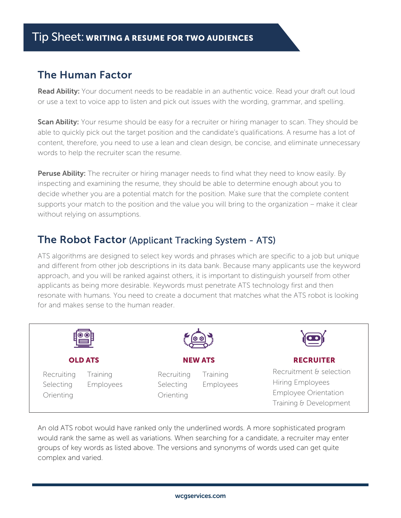## The Human Factor

**Read Ability:** Your document needs to be readable in an authentic voice. Read your draft out loud or use a text to voice app to listen and pick out issues with the wording, grammar, and spelling.

Scan Ability: Your resume should be easy for a recruiter or hiring manager to scan. They should be able to quickly pick out the target position and the candidate's qualifications. A resume has a lot of content, therefore, you need to use a lean and clean design, be concise, and eliminate unnecessary words to help the recruiter scan the resume.

Peruse Ability: The recruiter or hiring manager needs to find what they need to know easily. By inspecting and examining the resume, they should be able to determine enough about you to decide whether you are a potential match for the position. Make sure that the complete content supports your match to the position and the value you will bring to the organization – make it clear without relying on assumptions.

## The Robot Factor (Applicant Tracking System - ATS)

ATS algorithms are designed to select key words and phrases which are specific to a job but unique and different from other job descriptions in its data bank. Because many applicants use the keyword approach, and you will be ranked against others, it is important to distinguish yourself from other applicants as being more desirable. Keywords must penetrate ATS technology first and then resonate with humans. You need to create a document that matches what the ATS robot is looking for and makes sense to the human reader.



An old ATS robot would have ranked only the underlined words. A more sophisticated program would rank the same as well as variations. When searching for a candidate, a recruiter may enter groups of key words as listed above. The versions and synonyms of words used can get quite complex and varied.